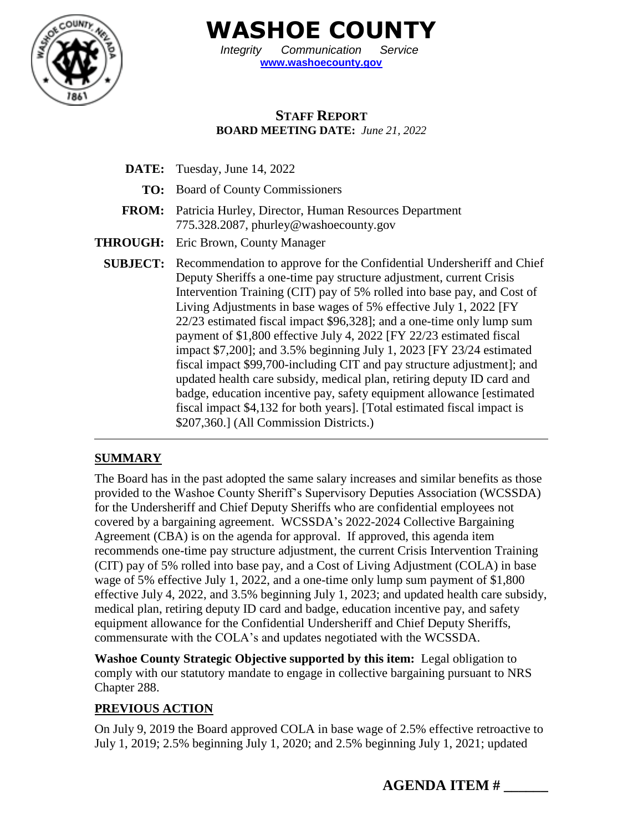

**WASHOE COUNTY**

*Integrity Communication Service* **[www.washoecounty.gov](http://www.washoecounty.gov/)**

## **STAFF REPORT BOARD MEETING DATE:** *June 21, 2022*

**DATE:** Tuesday, June 14, 2022 **TO:** Board of County Commissioners **FROM:** Patricia Hurley, Director, Human Resources Department 775.328.2087, phurley@washoecounty.gov **THROUGH:** Eric Brown, County Manager **SUBJECT:** Recommendation to approve for the Confidential Undersheriff and Chief Deputy Sheriffs a one-time pay structure adjustment, current Crisis Intervention Training (CIT) pay of 5% rolled into base pay, and Cost of Living Adjustments in base wages of 5% effective July 1, 2022 [FY 22/23 estimated fiscal impact \$96,328]; and a one-time only lump sum payment of \$1,800 effective July 4, 2022 [FY 22/23 estimated fiscal impact \$7,200]; and 3.5% beginning July 1, 2023 [FY 23/24 estimated fiscal impact \$99,700-including CIT and pay structure adjustment]; and updated health care subsidy, medical plan, retiring deputy ID card and badge, education incentive pay, safety equipment allowance [estimated fiscal impact \$4,132 for both years]. [Total estimated fiscal impact is \$207,360.] (All Commission Districts.)

### **SUMMARY**

The Board has in the past adopted the same salary increases and similar benefits as those provided to the Washoe County Sheriff's Supervisory Deputies Association (WCSSDA) for the Undersheriff and Chief Deputy Sheriffs who are confidential employees not covered by a bargaining agreement. WCSSDA's 2022-2024 Collective Bargaining Agreement (CBA) is on the agenda for approval. If approved, this agenda item recommends one-time pay structure adjustment, the current Crisis Intervention Training (CIT) pay of 5% rolled into base pay, and a Cost of Living Adjustment (COLA) in base wage of 5% effective July 1, 2022, and a one-time only lump sum payment of \$1,800 effective July 4, 2022, and 3.5% beginning July 1, 2023; and updated health care subsidy, medical plan, retiring deputy ID card and badge, education incentive pay, and safety equipment allowance for the Confidential Undersheriff and Chief Deputy Sheriffs, commensurate with the COLA's and updates negotiated with the WCSSDA.

**Washoe County Strategic Objective supported by this item:** Legal obligation to comply with our statutory mandate to engage in collective bargaining pursuant to NRS Chapter 288.

### **PREVIOUS ACTION**

On July 9, 2019 the Board approved COLA in base wage of 2.5% effective retroactive to July 1, 2019; 2.5% beginning July 1, 2020; and 2.5% beginning July 1, 2021; updated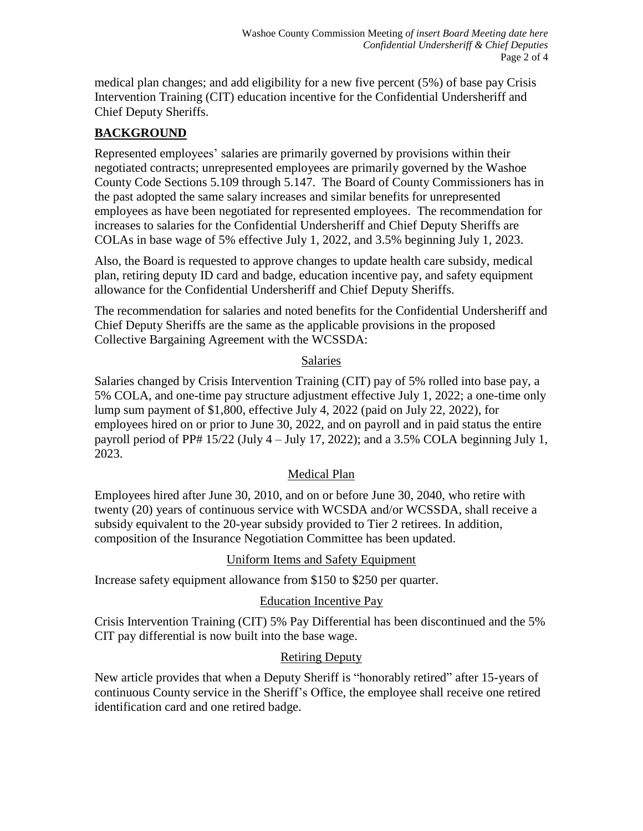medical plan changes; and add eligibility for a new five percent (5%) of base pay Crisis Intervention Training (CIT) education incentive for the Confidential Undersheriff and Chief Deputy Sheriffs.

# **BACKGROUND**

Represented employees' salaries are primarily governed by provisions within their negotiated contracts; unrepresented employees are primarily governed by the Washoe County Code Sections 5.109 through 5.147. The Board of County Commissioners has in the past adopted the same salary increases and similar benefits for unrepresented employees as have been negotiated for represented employees. The recommendation for increases to salaries for the Confidential Undersheriff and Chief Deputy Sheriffs are COLAs in base wage of 5% effective July 1, 2022, and 3.5% beginning July 1, 2023.

Also, the Board is requested to approve changes to update health care subsidy, medical plan, retiring deputy ID card and badge, education incentive pay, and safety equipment allowance for the Confidential Undersheriff and Chief Deputy Sheriffs.

The recommendation for salaries and noted benefits for the Confidential Undersheriff and Chief Deputy Sheriffs are the same as the applicable provisions in the proposed Collective Bargaining Agreement with the WCSSDA:

### Salaries

Salaries changed by Crisis Intervention Training (CIT) pay of 5% rolled into base pay, a 5% COLA, and one-time pay structure adjustment effective July 1, 2022; a one-time only lump sum payment of \$1,800, effective July 4, 2022 (paid on July 22, 2022), for employees hired on or prior to June 30, 2022, and on payroll and in paid status the entire payroll period of PP#  $15/22$  (July  $4 -$  July 17, 2022); and a 3.5% COLA beginning July 1, 2023.

### Medical Plan

Employees hired after June 30, 2010, and on or before June 30, 2040, who retire with twenty (20) years of continuous service with WCSDA and/or WCSSDA, shall receive a subsidy equivalent to the 20-year subsidy provided to Tier 2 retirees. In addition, composition of the Insurance Negotiation Committee has been updated.

### Uniform Items and Safety Equipment

Increase safety equipment allowance from \$150 to \$250 per quarter.

# Education Incentive Pay

Crisis Intervention Training (CIT) 5% Pay Differential has been discontinued and the 5% CIT pay differential is now built into the base wage.

# Retiring Deputy

New article provides that when a Deputy Sheriff is "honorably retired" after 15-years of continuous County service in the Sheriff's Office, the employee shall receive one retired identification card and one retired badge.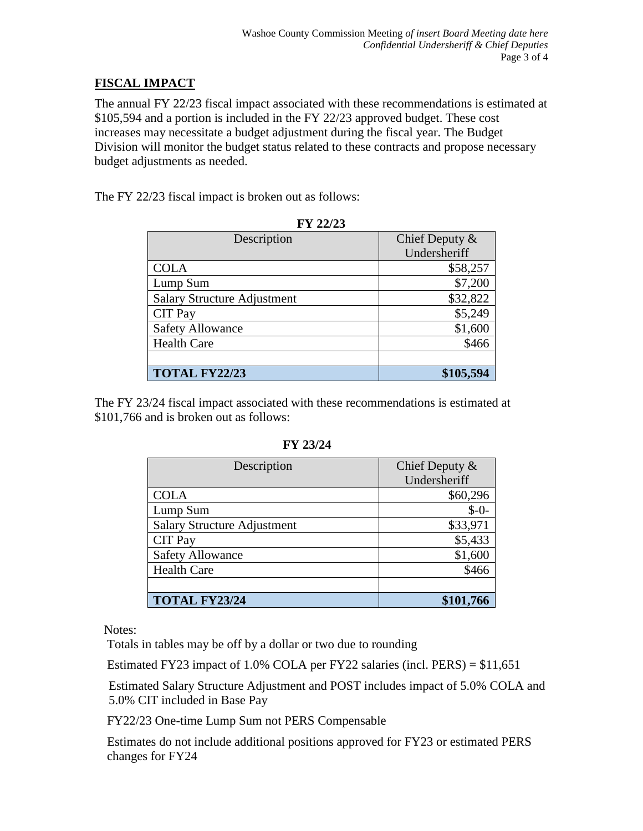## **FISCAL IMPACT**

The annual FY 22/23 fiscal impact associated with these recommendations is estimated at \$105,594 and a portion is included in the FY 22/23 approved budget. These cost increases may necessitate a budget adjustment during the fiscal year. The Budget Division will monitor the budget status related to these contracts and propose necessary budget adjustments as needed.

The FY 22/23 fiscal impact is broken out as follows:

| F 1 <i>44143</i>                   |                  |
|------------------------------------|------------------|
| Description                        | Chief Deputy $&$ |
|                                    | Undersheriff     |
| <b>COLA</b>                        | \$58,257         |
| Lump Sum                           | \$7,200          |
| <b>Salary Structure Adjustment</b> | \$32,822         |
| <b>CIT Pay</b>                     | \$5,249          |
| <b>Safety Allowance</b>            | \$1,600          |
| <b>Health Care</b>                 | \$466            |
|                                    |                  |
| <b>TOTAL FY22/23</b>               | \$105,594        |

**FV 22/23** 

The FY 23/24 fiscal impact associated with these recommendations is estimated at \$101,766 and is broken out as follows:

| Description                        | Chief Deputy $&$ |
|------------------------------------|------------------|
|                                    | Undersheriff     |
| <b>COLA</b>                        | \$60,296         |
| Lump Sum                           | $$ -0-$          |
| <b>Salary Structure Adjustment</b> | \$33,971         |
| <b>CIT Pay</b>                     | \$5,433          |
| <b>Safety Allowance</b>            | \$1,600          |
| <b>Health Care</b>                 | \$466            |
|                                    |                  |
| <b>TOTAL FY23/24</b>               | \$101,766        |

#### **FY 23/24**

Notes:

Totals in tables may be off by a dollar or two due to rounding

Estimated FY23 impact of 1.0% COLA per FY22 salaries (incl. PERS) = \$11,651

Estimated Salary Structure Adjustment and POST includes impact of 5.0% COLA and 5.0% CIT included in Base Pay

FY22/23 One-time Lump Sum not PERS Compensable

 Estimates do not include additional positions approved for FY23 or estimated PERS changes for FY24